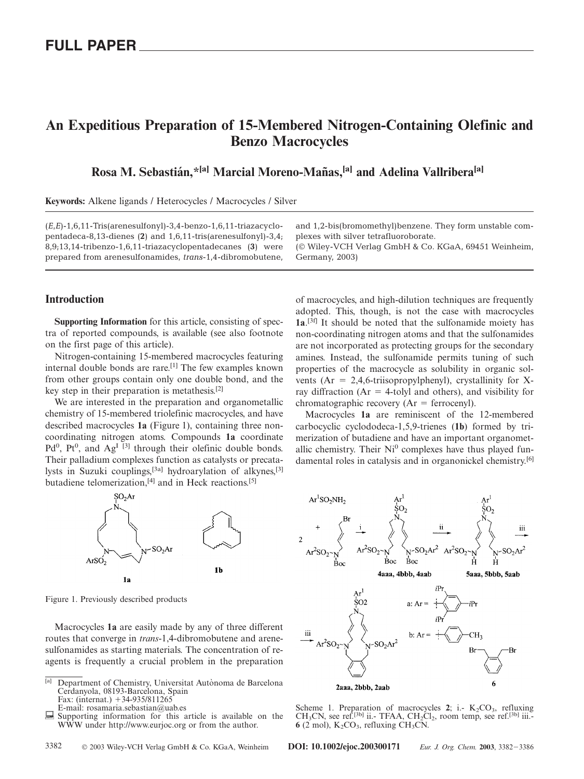# **An Expeditious Preparation of 15-Membered Nitrogen-Containing Olefinic and Benzo Macrocycles**

## Rosa M. Sebastián,<sup>\*[a]</sup> Marcial Moreno-Mañas,<sup>[a]</sup> and Adelina Vallribera<sup>[a]</sup>

**Keywords:** Alkene ligands / Heterocycles / Macrocycles / Silver

(*E*,*E*)-1,6,11-Tris(arenesulfonyl)-3,4-benzo-1,6,11-triazacyclopentadeca-8,13-dienes (**2**) and 1,6,11-tris(arenesulfonyl)-3,4; 8,9;13,14-tribenzo-1,6,11-triazacyclopentadecanes (**3**) were prepared from arenesulfonamides, *trans*-1,4-dibromobutene,

**Introduction**

**Supporting Information** for this article, consisting of spectra of reported compounds, is available (see also footnote on the first page of this article).

Nitrogen-containing 15-membered macrocycles featuring internal double bonds are rare.<sup>[1]</sup> The few examples known from other groups contain only one double bond, and the key step in their preparation is metathesis.[2]

We are interested in the preparation and organometallic chemistry of 15-membered triolefinic macrocycles, and have described macrocycles **1a** (Figure 1), containing three noncoordinating nitrogen atoms. Compounds **1a** coordinate  $Pd^0$ ,  $Pt^0$ , and  $Ag^I$  [3] through their olefinic double bonds. Their palladium complexes function as catalysts or precatalysts in Suzuki couplings,<sup>[3a]</sup> hydroarylation of alkynes,<sup>[3]</sup> butadiene telomerization,<sup>[4]</sup> and in Heck reactions.<sup>[5]</sup>



Figure 1. Previously described products

Macrocycles **1a** are easily made by any of three different routes that converge in *trans*-1,4-dibromobutene and arenesulfonamides as starting materials. The concentration of reagents is frequently a crucial problem in the preparation

E-mail: rosamaria.sebastian@uab.es

and 1,2-bis(bromomethyl)benzene. They form unstable complexes with silver tetrafluoroborate.

(© Wiley-VCH Verlag GmbH & Co. KGaA, 69451 Weinheim, Germany, 2003)

of macrocycles, and high-dilution techniques are frequently adopted. This, though, is not the case with macrocycles **1a**. [3f] It should be noted that the sulfonamide moiety has non-coordinating nitrogen atoms and that the sulfonamides are not incorporated as protecting groups for the secondary amines. Instead, the sulfonamide permits tuning of such properties of the macrocycle as solubility in organic solvents ( $Ar = 2,4,6$ -triisopropylphenyl), crystallinity for Xray diffraction ( $Ar = 4$ -tolyl and others), and visibility for chromatographic recovery  $(Ar = \text{ferroceny}).$ 

Macrocycles **1a** are reminiscent of the 12-membered carbocyclic cyclododeca-1,5,9-trienes (**1b**) formed by trimerization of butadiene and have an important organometallic chemistry. Their  $Ni<sup>0</sup>$  complexes have thus played fundamental roles in catalysis and in organonickel chemistry.[6]



Scheme 1. Preparation of macrocycles  $2$ ; i.-  $K_2CO_3$ , refluxing CH<sub>3</sub>CN, see ref.<sup>[3b]</sup> ii.- TFAA, CH<sub>2</sub>Cl<sub>2</sub>, room temp, see ref.<sup>[3b]</sup> iii.- $6(2 \text{ mol})$ ,  $K_2CO_3$ , refluxing  $CH_3CN$ .

<sup>&</sup>lt;sup>[a]</sup> Department of Chemistry, Universitat Autònoma de Barcelona Cerdanyola, 08193-Barcelona, Spain Fax: (internat.)  $+34-935/811265$ 

Supporting information for this article is available on the WWW under http://www.eurjoc.org or from the author.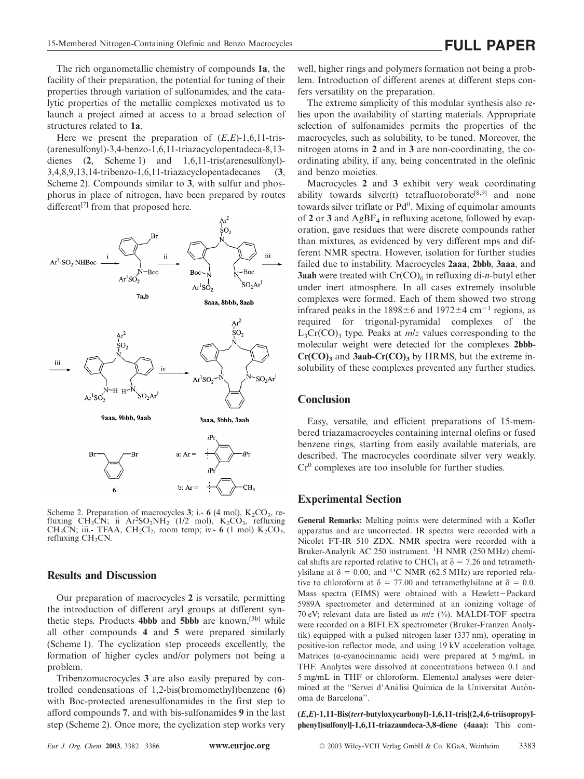The rich organometallic chemistry of compounds **1a**, the facility of their preparation, the potential for tuning of their properties through variation of sulfonamides, and the catalytic properties of the metallic complexes motivated us to launch a project aimed at access to a broad selection of structures related to **1a**.

Here we present the preparation of (*E*,*E*)-1,6,11-tris- (arenesulfonyl)-3,4-benzo-1,6,11-triazacyclopentadeca-8,13 dienes (**2**, Scheme 1) and 1,6,11-tris(arenesulfonyl)- 3,4,8,9,13,14-tribenzo-1,6,11-triazacyclopentadecanes (**3**, Scheme 2). Compounds similar to **3**, with sulfur and phosphorus in place of nitrogen, have been prepared by routes different<sup>[7]</sup> from that proposed here.



Scheme 2. Preparation of macrocycles  $3$ ; i.-  $6$  (4 mol),  $K_2CO_3$ , refluxing CH<sub>3</sub>CN; ii Ar<sup>2</sup>SO<sub>2</sub>NH<sub>2</sub> (1/2 mol), K<sub>2</sub>CO<sub>3</sub>, refluxing CH<sub>3</sub>CN; iii.- TFAA, CH<sub>2</sub>Cl<sub>2</sub>, room temp; iv.- 6 (1 mol)  $K_2CO_3$ , refluxing CH<sub>3</sub>CN.

#### **Results and Discussion**

Our preparation of macrocycles **2** is versatile, permitting the introduction of different aryl groups at different synthetic steps. Products **4bbb** and **5bbb** are known,[3b] while all other compounds **4** and **5** were prepared similarly (Scheme 1). The cyclization step proceeds excellently, the formation of higher cycles and/or polymers not being a problem.

Tribenzomacrocycles **3** are also easily prepared by controlled condensations of 1,2-bis(bromomethyl)benzene (**6**) with Boc-protected arenesulfonamides in the first step to afford compounds **7**, and with bis-sulfonamides **9** in the last step (Scheme 2). Once more, the cyclization step works very well, higher rings and polymers formation not being a problem. Introduction of different arenes at different steps confers versatility on the preparation.

The extreme simplicity of this modular synthesis also relies upon the availability of starting materials. Appropriate selection of sulfonamides permits the properties of the macrocycles, such as solubility, to be tuned. Moreover, the nitrogen atoms in **2** and in **3** are non-coordinating, the coordinating ability, if any, being concentrated in the olefinic and benzo moieties.

Macrocycles **2** and **3** exhibit very weak coordinating ability towards silver(I) tetrafluoroborate<sup>[8,9]</sup> and none towards silver triflate or Pd<sup>0</sup>. Mixing of equimolar amounts of 2 or 3 and  $AgBF_4$  in refluxing acetone, followed by evaporation, gave residues that were discrete compounds rather than mixtures, as evidenced by very different mps and different NMR spectra. However, isolation for further studies failed due to instability. Macrocycles **2aaa**, **2bbb**, **3aaa**, and **3aab** were treated with  $Cr(CO)_6$  in refluxing di-*n*-butyl ether under inert atmosphere. In all cases extremely insoluble complexes were formed. Each of them showed two strong infrared peaks in the  $1898 \pm 6$  and  $1972 \pm 4$  cm<sup>-1</sup> regions, as required for trigonal-pyramidal complexes of the  $L_3Cr(CO)$ <sub>3</sub> type. Peaks at *m/z* values corresponding to the molecular weight were detected for the complexes **2bbb-** $Cr(CO)$ <sub>3</sub> and **3aab-Cr(CO)**<sub>3</sub> by HRMS, but the extreme insolubility of these complexes prevented any further studies.

#### **Conclusion**

Easy, versatile, and efficient preparations of 15-membered triazamacrocycles containing internal olefins or fused benzene rings, starting from easily available materials, are described. The macrocycles coordinate silver very weakly.  $Cr^{0}$  complexes are too insoluble for further studies.

#### **Experimental Section**

**General Remarks:** Melting points were determined with a Kofler apparatus and are uncorrected. IR spectra were recorded with a Nicolet FT-IR 510 ZDX. NMR spectra were recorded with a Bruker-Analytik AC 250 instrument. <sup>1</sup>H NMR (250 MHz) chemical shifts are reported relative to CHCl<sub>3</sub> at  $\delta = 7.26$  and tetramethylsilane at  $\delta = 0.00$ , and <sup>13</sup>C NMR (62.5 MHz) are reported relative to chloroform at  $\delta = 77.00$  and tetramethylsilane at  $\delta = 0.0$ . Mass spectra (EIMS) were obtained with a Hewlett-Packard 5989A spectrometer and determined at an ionizing voltage of 70 eV; relevant data are listed as *m*/*z* (%). MALDI-TOF spectra were recorded on a BIFLEX spectrometer (Bruker-Franzen Analytik) equipped with a pulsed nitrogen laser (337 nm), operating in positive-ion reflector mode, and using 19 kV acceleration voltage. Matrices (α-cyanocinnamic acid) were prepared at 5 mg/mL in THF. Analytes were dissolved at concentrations between 0.1 and 5 mg/mL in THF or chloroform. Elemental analyses were determined at the "Servei d'Anàlisi Química de la Universitat Autònoma de Barcelona''.

**(***E***,***E***)-1,11-Bis(***tert***-butyloxycarbonyl)-1,6,11-tris[(2,4,6-triisopropylphenyl)sulfonyl]-1,6,11-triazaundeca-3,8-diene (4aaa):** This com-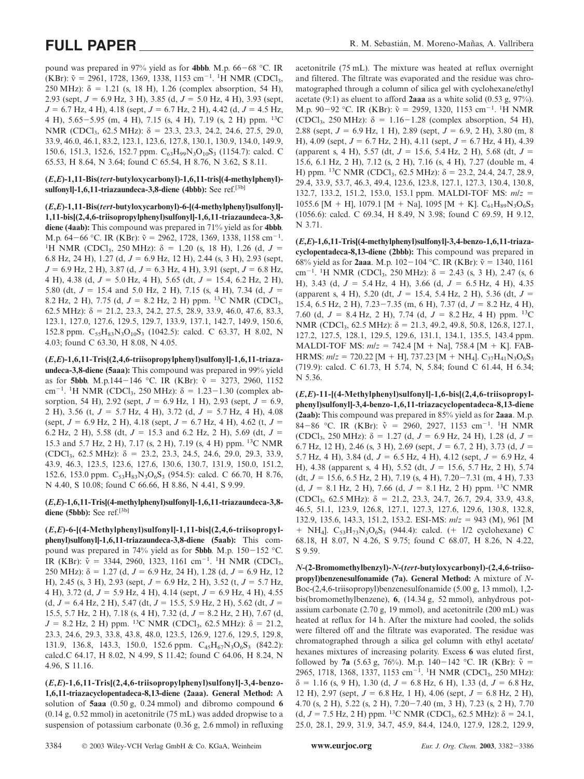pound was prepared in 97% yield as for **4bbb**. M.p. 66-68 °C. IR (KBr):  $\tilde{v} = 2961, 1728, 1369, 1338, 1153$  cm<sup>-1</sup>. <sup>1</sup>H NMR (CDCl<sub>3</sub>, 250 MHz):  $\delta = 1.21$  (s, 18 H), 1.26 (complex absorption, 54 H), 2.93 (sept,  $J = 6.9$  Hz, 3 H), 3.85 (d,  $J = 5.0$  Hz, 4 H), 3.93 (sept,  $J = 6.7$  Hz, 4 H), 4.18 (sept,  $J = 6.7$  Hz, 2 H), 4.42 (d,  $J = 4.5$  Hz, 4 H), 5.65-5.95 (m, 4 H), 7.15 (s, 4 H), 7.19 (s, 2 H) ppm. 13C NMR (CDCl<sub>3</sub>, 62.5 MHz):  $\delta$  = 23.3, 23.3, 24.2, 24.6, 27.5, 29.0, 33.9, 46.0, 46.1, 83.2, 123.1, 123.6, 127.8, 130.1, 130.9, 134.0, 149.9, 150.6, 151.3, 152.6, 152.7 ppm.  $C_{63}H_{99}N_3O_{10}S_3$  (1154.7): calcd. C 65.53, H 8.64, N 3.64; found C 65.54, H 8.76, N 3.62, S 8.11.

#### **(***E***,***E***)-1,11-Bis(***tert***-butyloxycarbonyl)-1,6,11-tris[(4-methylphenyl) sulfonyl]-1,6,11-triazaundeca-3,8-diene (4bbb):** See ref.[3b]

**(***E***,***E***)-1,11-Bis(***tert***-butyloxycarbonyl)-6-[(4-methylphenyl)sulfonyl]- 1,11-bis[(2,4,6-triisopropylphenyl)sulfonyl]-1,6,11-triazaundeca-3,8 diene (4aab):** This compound was prepared in 71% yield as for **4bbb**. M.p. 64–66 °C. IR (KBr):  $\tilde{v} = 2962, 1728, 1369, 1338, 1158$  cm<sup>-1</sup>. <sup>1</sup>H NMR (CDCl<sub>3</sub>, 250 MHz):  $\delta$  = 1.20 (s, 18 H), 1.26 (d,  $J$  = 6.8 Hz, 24 H), 1.27 (d,  $J = 6.9$  Hz, 12 H), 2.44 (s, 3 H), 2.93 (sept,  $J = 6.9$  Hz, 2 H), 3.87 (d,  $J = 6.3$  Hz, 4 H), 3.91 (sept,  $J = 6.8$  Hz, 4 H), 4.38 (d,  $J = 5.0$  Hz, 4 H), 5.65 (dt,  $J = 15.4$ , 6.2 Hz, 2 H), 5.80 (dt,  $J = 15.4$  and 5.0 Hz, 2 H), 7.15 (s, 4 H), 7.34 (d,  $J =$ 8.2 Hz, 2 H), 7.75 (d,  $J = 8.2$  Hz, 2 H) ppm. <sup>13</sup>C NMR (CDCl<sub>3</sub>, 62.5 MHz):  $\delta = 21.2, 23.3, 24.2, 27.5, 28.9, 33.9, 46.0, 47.6, 83.3,$ 123.1, 127.0, 127.6, 129.5, 129.7, 133.9, 137.1, 142.7, 149.9, 150.6, 152.8 ppm.  $C_{55}H_{83}N_3O_{10}S_3$  (1042.5): calcd. C 63.37, H 8.02, N 4.03; found C 63.30, H 8.08, N 4.05.

**(***E***,***E***)-1,6,11-Tris[(2,4,6-triisopropylphenyl)sulfonyl]-1,6,11-triazaundeca-3,8-diene (5aaa):** This compound was prepared in 99% yield as for **5bbb**. M.p.144-146 °C. IR (KBr):  $\tilde{v} = 3273, 2960, 1152$ cm<sup>-1</sup>. <sup>1</sup>H NMR (CDCl<sub>3</sub>, 250 MHz): δ = 1.23-1.30 (complex absorption, 54 H), 2.92 (sept,  $J = 6.9$  Hz, 1 H), 2.93 (sept,  $J = 6.9$ , 2 H), 3.56 (t,  $J = 5.7$  Hz, 4 H), 3.72 (d,  $J = 5.7$  Hz, 4 H), 4.08 (sept,  $J = 6.9$  Hz, 2 H), 4.18 (sept,  $J = 6.7$  Hz, 4 H), 4.62 (t,  $J =$ 6.2 Hz, 2 H), 5.58 (dt,  $J = 15.3$  and 6.2 Hz, 2 H), 5.69 (dt,  $J =$ 15.3 and 5.7 Hz, 2 H), 7.17 (s, 2 H), 7.19 (s, 4 H) ppm. 13C NMR (CDCl<sub>3</sub>, 62.5 MHz):  $\delta$  = 23.2, 23.3, 24.5, 24.6, 29.0, 29.3, 33.9, 43.9, 46.3, 123.5, 123.6, 127.6, 130.6, 130.7, 131.9, 150.0, 151.2, 152.6, 153.0 ppm.  $C_{53}H_{83}N_3O_6S_3$  (954.5): calcd. C 66.70, H 8.76, N 4.40, S 10.08; found C 66.66, H 8.86, N 4.41, S 9.99.

#### **(***E***,***E***)-1,6,11-Tris[(4-methylphenyl)sulfonyl]-1,6,11-triazaundeca-3,8** diene (5bbb): See ref.<sup>[3b]</sup>

**(***E***,***E***)-6-[(4-Methylphenyl)sulfonyl]-1,11-bis[(2,4,6-triisopropylphenyl)sulfonyl]-1,6,11-triazaundeca-3,8-diene (5aab):** This compound was prepared in 74% yield as for **5bbb**. M.p. 150-152 °C. IR (KBr):  $\tilde{v} = 3344, 2960, 1323, 1161 \text{ cm}^{-1}$ . <sup>1</sup>H NMR (CDCl<sub>3</sub>, 250 MHz):  $\delta = 1.27$  (d,  $J = 6.9$  Hz, 24 H), 1.28 (d,  $J = 6.9$  Hz, 12 H), 2.45 (s, 3 H), 2.93 (sept,  $J = 6.9$  Hz, 2 H), 3.52 (t,  $J = 5.7$  Hz, 4 H), 3.72 (d,  $J = 5.9$  Hz, 4 H), 4.14 (sept,  $J = 6.9$  Hz, 4 H), 4.55  $(d, J = 6.4 \text{ Hz}, 2 \text{ H}), 5.47 \text{ (dt, } J = 15.5, 5.9 \text{ Hz}, 2 \text{ H}), 5.62 \text{ (dt, } J =$ 15.5, 5.7 Hz, 2 H), 7.18 (s, 4 H), 7.32 (d,  $J = 8.2$  Hz, 2 H), 7.67 (d,  $J = 8.2$  Hz, 2 H) ppm. <sup>13</sup>C NMR (CDCl<sub>3</sub>, 62.5 MHz):  $\delta = 21.2$ , 23.3, 24.6, 29.3, 33.8, 43.8, 48.0, 123.5, 126.9, 127.6, 129.5, 129.8, 131.9, 136.8, 143.3, 150.0, 152.6 ppm.  $C_{45}H_{67}N_3O_6S_3$  (842.2): calcd.C 64.17, H 8.02, N 4.99, S 11.42; found C 64.06, H 8.24, N 4.96, S 11.16.

**(***E***,***E***)-1,6,11-Tris[(2,4,6-triisopropylphenyl)sulfonyl]-3,4-benzo-1,6,11-triazacyclopentadeca-8,13-diene (2aaa). General Method:** A solution of **5aaa** (0.50 g, 0.24 mmol) and dibromo compound **6** (0.14 g, 0.52 mmol) in acetonitrile (75 mL) was added dropwise to a suspension of potassium carbonate (0.36 g, 2.6 mmol) in refluxing acetonitrile (75 mL). The mixture was heated at reflux overnight and filtered. The filtrate was evaporated and the residue was chromatographed through a column of silica gel with cyclohexane/ethyl acetate (9:1) as eluent to afford **2aaa** as a white solid (0.53 g, 97%). M.p. 90–92 °C. IR (KBr):  $\tilde{v} = 2959, 1320, 1153$  cm<sup>-1</sup>. <sup>1</sup>H NMR (CDCl<sub>3</sub>, 250 MHz):  $\delta = 1.16 - 1.28$  (complex absorption, 54 H), 2.88 (sept,  $J = 6.9$  Hz, 1 H), 2.89 (sept,  $J = 6.9$ , 2 H), 3.80 (m, 8) H), 4.09 (sept,  $J = 6.7$  Hz, 2 H), 4.11 (sept,  $J = 6.7$  Hz, 4 H), 4.39 (apparent s, 4 H), 5.57 (dt,  $J = 15.6$ , 5.4 Hz, 2 H), 5.68 (dt,  $J =$ 15.6, 6.1 Hz, 2 H), 7.12 (s, 2 H), 7.16 (s, 4 H), 7.27 (double m, 4 H) ppm. <sup>13</sup>C NMR (CDCl<sub>3</sub>, 62.5 MHz):  $\delta$  = 23.2, 24.4, 24.7, 28.9, 29.4, 33.9, 53.7, 46.3, 49.4, 123.6, 123.8, 127.1, 127.3, 130.4, 130.8, 132.7, 133.2, 151.2, 153.0, 153.1 ppm. MALDI-TOF MS: *m*/*z* 1055.6 [M + H], 1079.1 [M + Na], 1095 [M + K].  $C_{61}H_{89}N_3O_6S_3$ (1056.6): calcd. C 69.34, H 8.49, N 3.98; found C 69.59, H 9.12, N 3.71.

**(***E***,***E***)-1,6,11-Tris[(4-methylphenyl)sulfonyl]-3,4-benzo-1,6,11-triazacyclopentadeca-8,13-diene (2bbb):** This compound was prepared in 68% yield as for **2aaa**. M.p.  $102-104$  °C. IR (KBr):  $\tilde{v} = 1340, 1161$ cm<sup>-1</sup>. <sup>1</sup>H NMR (CDCl<sub>3</sub>, 250 MHz):  $\delta$  = 2.43 (s, 3 H), 2.47 (s, 6 H), 3.43 (d,  $J = 5.4$  Hz, 4 H), 3.66 (d,  $J = 6.5$  Hz, 4 H), 4.35 (apparent s, 4 H), 5.20 (dt,  $J = 15.4$ , 5.4 Hz, 2 H), 5.36 (dt,  $J =$ 15.4, 6.5 Hz, 2 H), 7.23 – 7.35 (m, 6 H), 7.37 (d,  $J = 8.2$  Hz, 4 H), 7.60 (d,  $J = 8.4$  Hz, 2 H), 7.74 (d,  $J = 8.2$  Hz, 4 H) ppm. <sup>13</sup>C NMR (CDCl<sub>3</sub>, 62.5 MHz):  $\delta = 21.3, 49.2, 49.8, 50.8, 126.8, 127.1,$ 127.2, 127.5, 128.1, 129.5, 129.6, 131.1, 134.1, 135.5, 143.4 ppm. MALDI-TOF MS:  $m/z = 742.4$  [M + Na], 758.4 [M + K]. FAB-HRMS:  $m/z = 720.22$  [M + H], 737.23 [M + NH<sub>4</sub>]. C<sub>37</sub>H<sub>41</sub>N<sub>3</sub>O<sub>6</sub>S<sub>3</sub> (719.9): calcd. C 61.73, H 5.74, N, 5.84; found C 61.44, H 6.34; N 5.36.

**(***E***,***E***)-11-[(4-Methylphenyl)sulfonyl]-1,6-bis[(2,4,6-triisopropylphenyl)sulfonyl]-3,4-benzo-1,6,11-triazacyclopentadeca-8,13-diene (2aab):** This compound was prepared in 85% yield as for **2aaa**. M.p. 84-86 °C. IR (KBr):  $\tilde{v} = 2960, 2927, 1153 \text{ cm}^{-1}$ . <sup>1</sup>H NMR (CDCl<sub>3</sub>, 250 MHz):  $\delta = 1.27$  (d,  $J = 6.9$  Hz, 24 H), 1.28 (d,  $J =$ 6.7 Hz, 12 H), 2.46 (s, 3 H), 2.69 (sept,  $J = 6.7$ , 2 H), 3.73 (d,  $J =$ 5.7 Hz, 4 H), 3.84 (d,  $J = 6.5$  Hz, 4 H), 4.12 (sept,  $J = 6.9$  Hz, 4 H), 4.38 (apparent s, 4 H), 5.52 (dt,  $J = 15.6$ , 5.7 Hz, 2 H), 5.74  $(dt, J = 15.6, 6.5 Hz, 2 H), 7.19 (s, 4 H), 7.20 - 7.31 (m, 4 H), 7.33$ (d,  $J = 8.1$  Hz, 2 H), 7.66 (d,  $J = 8.1$  Hz, 2 H) ppm. <sup>13</sup>C NMR (CDCl<sub>3</sub>, 62.5 MHz):  $\delta$  = 21.2, 23.3, 24.7, 26.7, 29.4, 33.9, 43.8, 46.5, 51.1, 123.9, 126.8, 127.1, 127.3, 127.6, 129.6, 130.8, 132.8, 132.9, 135.6, 143.3, 151.2, 153.2. ESI-MS: *m*/*z* 943 (M), 961 [M + NH<sub>4</sub>].  $C_{53}H_{73}N_3O_6S_3$  (944.4): calcd. (+ 1/2 cyclohexane) C 68.18, H 8.07, N 4.26, S 9.75; found C 68.07, H 8.26, N 4.22, S 9.59.

*N***-(2-Bromomethylbenzyl)-***N***-(***tert***-butyloxycarbonyl)-(2,4,6-triisopropyl)benzenesulfonamide (7a). General Method:** A mixture of *N*-Boc-(2,4,6-triisopropyl)benzenesulfonamide (5.00 g, 13 mmol), 1,2 bis(bromomethylbenzene), **6**, (14.34 g, 52 mmol), anhydrous potassium carbonate (2.70 g, 19 mmol), and acetonitrile (200 mL) was heated at reflux for 14 h. After the mixture had cooled, the solids were filtered off and the filtrate was evaporated. The residue was chromatographed through a silica gel column with ethyl acetate/ hexanes mixtures of increasing polarity. Excess **6** was eluted first, followed by **7a** (5.63 g, 76%). M.p. 140–142 °C. IR (KBr):  $\tilde{v} =$ 2965, 1718, 1368, 1337, 1153 cm<sup>-1</sup>. <sup>1</sup>H NMR (CDCl<sub>3</sub>, 250 MHz):  $\delta$  = 1.16 (s, 9 H), 1.30 (d, *J* = 6.8 Hz, 6 H), 1.33 (d, *J* = 6.8 Hz, 12 H), 2.97 (sept,  $J = 6.8$  Hz, 1 H), 4.06 (sept,  $J = 6.8$  Hz, 2 H), 4.70 (s, 2 H), 5.22 (s, 2 H), 7.20-7.40 (m, 3 H), 7.23 (s, 2 H), 7.70 (d,  $J = 7.5$  Hz, 2 H) ppm. <sup>13</sup>C NMR (CDCl<sub>3</sub>, 62.5 MHz):  $\delta = 24.1$ , 25.0, 28.1, 29.9, 31.9, 34.7, 45.9, 84.4, 124.0, 127.9, 128.2, 129.9,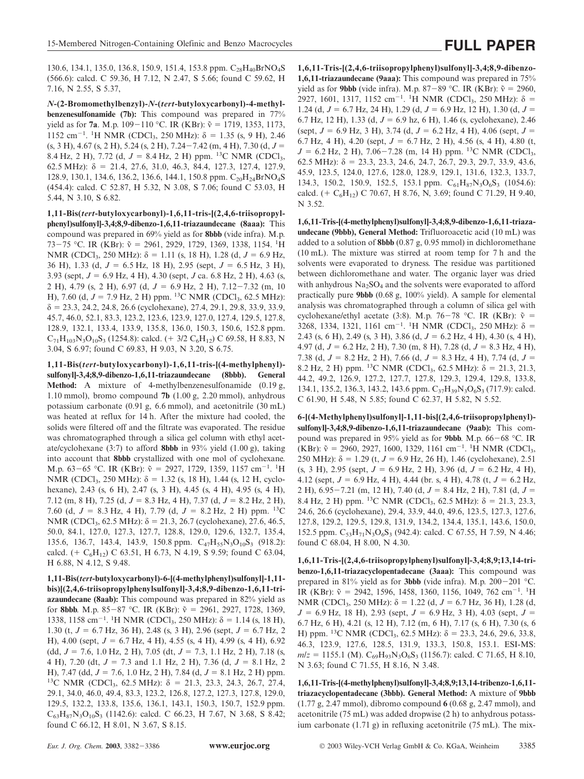130.6, 134.1, 135.0, 136.8, 150.9, 151.4, 153.8 ppm.  $C_{28}H_{40}BrNO<sub>4</sub>S$ (566.6): calcd. C 59.36, H 7.12, N 2.47, S 5.66; found C 59.62, H 7.16, N 2.55, S 5.37,

*N***-(2-Bromomethylbenzyl)-***N***-(***tert***-butyloxycarbonyl)-4-methylbenzenesulfonamide (7b):** This compound was prepared in 77% yield as for **7a**. M.p. 109–110 °C. IR (KBr):  $\tilde{v} = 1719, 1353, 1173,$ 1152 cm<sup>-1</sup>. <sup>1</sup>H NMR (CDCl<sub>3</sub>, 250 MHz): δ = 1.35 (s, 9 H), 2.46 (s, 3 H), 4.67 (s, 2 H), 5.24 (s, 2 H), 7.24-7.42 (m, 4 H), 7.30 (d, *J* 8.4 Hz, 2 H), 7.72 (d,  $J = 8.4$  Hz, 2 H) ppm. <sup>13</sup>C NMR (CDCl<sub>3</sub>, 62.5 MHz):  $\delta = 21.4, 27.6, 31.0, 46.3, 84.4, 127.3, 127.4, 127.9,$ 128.9, 130.1, 134.6, 136.2, 136.6, 144.1, 150.8 ppm. C<sub>20</sub>H<sub>24</sub>BrNO<sub>4</sub>S (454.4): calcd. C 52.87, H 5.32, N 3.08, S 7.06; found C 53.03, H 5.44, N 3.10, S 6.82.

**1,11-Bis(***tert***-butyloxycarbonyl)-1,6,11-tris-[(2,4,6-triisopropylphenyl)sulfonyl]-3,4;8,9-dibenzo-1,6,11-triazaundecane (8aaa):** This compound was prepared in 69% yield as for **8bbb** (vide infra). M.p. 73-75 °C. IR (KBr):  $\tilde{v}$  = 2961, 2929, 1729, 1369, 1338, 1154. <sup>1</sup>H NMR (CDCl<sub>3</sub>, 250 MHz):  $\delta = 1.11$  (s, 18 H), 1.28 (d,  $J = 6.9$  Hz, 36 H), 1.33 (d, *J* 6.5 Hz, 18 H), 2.95 (sept, *J* 6.5 Hz, 3 H), 3.93 (sept, *J* 6.9 Hz, 4 H), 4.30 (sept, *J* ca. 6.8 Hz, 2 H), 4.63 (s, 2 H), 4.79 (s, 2 H), 6.97 (d,  $J = 6.9$  Hz, 2 H), 7.12-7.32 (m, 10 H), 7.60 (d, *J* = 7.9 Hz, 2 H) ppm. <sup>13</sup>C NMR (CDCl<sub>3</sub>, 62.5 MHz):  $\delta$  = 23.3, 24.2, 24.8, 26.6 (cyclohexane), 27.4, 29.1, 29.8, 33.9, 33.9, 45.7, 46.0, 52.1, 83.3, 123.2, 123.6, 123.9, 127.0, 127.4, 129.5, 127.8, 128.9, 132.1, 133.4, 133.9, 135.8, 136.0, 150.3, 150.6, 152.8 ppm.  $C_{71}H_{103}N_3O_{10}S_3$  (1254.8): calcd. (+ 3/2  $C_6H_{12}$ ) C 69.58, H 8.83, N 3.04, S 6.97; found C 69.83, H 9.03, N 3.20, S 6.75.

**1,11-Bis(***tert***-butyloxycarbonyl)-1,6,11-tris-[(4-methylphenyl) sulfonyl]-3,4;8,9-dibenzo-1,6,11-triazaundecane (8bbb). General Method:** A mixture of 4-methylbenzenesulfonamide (0.19 g, 1.10 mmol), bromo compound **7b** (1.00 g, 2.20 mmol), anhydrous potassium carbonate (0.91 g, 6.6 mmol), and acetonitrile (30 mL) was heated at reflux for 14 h. After the mixture had cooled, the solids were filtered off and the filtrate was evaporated. The residue was chromatographed through a silica gel column with ethyl acetate/cyclohexane (3:7) to afford **8bbb** in 93% yield (1.00 g), taking into account that **8bbb** crystallized with one mol of cyclohexane. M.p. 63–65 °C. IR (KBr):  $\tilde{v} = 2927, 1729, 1359, 1157$  cm<sup>-1</sup>. <sup>1</sup>H NMR (CDCl<sub>3</sub>, 250 MHz):  $\delta = 1.32$  (s, 18 H), 1.44 (s, 12 H, cyclohexane), 2.43 (s, 6 H), 2.47 (s, 3 H), 4.45 (s, 4 H), 4.95 (s, 4 H), 7.12 (m, 8 H), 7.25 (d,  $J = 8.3$  Hz, 4 H), 7.37 (d,  $J = 8.2$  Hz, 2 H), 7.60 (d,  $J = 8.3$  Hz, 4 H), 7.79 (d,  $J = 8.2$  Hz, 2 H) ppm. <sup>13</sup>C NMR (CDCl<sub>3</sub>, 62.5 MHz):  $\delta$  = 21.3, 26.7 (cyclohexane), 27.6, 46.5, 50.0, 84.1, 127.0, 127.3, 127.7, 128.8, 129.0, 129.6, 132.7, 135.4, 135.6, 136.7, 143.4, 143.9, 150.8 ppm.  $C_{47}H_{55}N_3O_{10}S_3$  (918.2): calcd. (+  $C_6H_{12}$ ) C 63.51, H 6.73, N 4.19, S 9.59; found C 63.04, H 6.88, N 4.12, S 9.48.

**1,11-Bis(***tert***-butyloxycarbonyl)-6-[(4-methylphenyl)sulfonyl]-1,11 bis)[(2,4,6-triisopropylphenylsulfonyl]-3,4;8,9-dibenzo-1,6,11-triazaundecane (8aab):** This compound was prepared in 82% yield as for **8bbb**. M.p. 85-87 °C. IR (KBr):  $\tilde{v} = 2961, 2927, 1728, 1369,$ 1338, 1158 cm<sup>-1</sup>. <sup>1</sup>H NMR (CDCl<sub>3</sub>, 250 MHz): δ = 1.14 (s, 18 H), 1.30 (t,  $J = 6.7$  Hz, 36 H), 2.48 (s, 3 H), 2.96 (sept,  $J = 6.7$  Hz, 2 H), 4.00 (sept,  $J = 6.7$  Hz, 4 H), 4.55 (s, 4 H), 4.99 (s, 4 H), 6.92 (dd,  $J = 7.6$ , 1.0 Hz, 2 H), 7.05 (dt,  $J = 7.3$ , 1.1 Hz, 2 H), 7.18 (s, 4 H), 7.20 (dt,  $J = 7.3$  and 1.1 Hz, 2 H), 7.36 (d,  $J = 8.1$  Hz, 2 H), 7.47 (dd,  $J = 7.6$ , 1.0 Hz, 2 H), 7.84 (d,  $J = 8.1$  Hz, 2 H) ppm. <sup>13</sup>C NMR (CDCl<sub>3</sub>, 62.5 MHz):  $\delta$  = 21.3, 23.3, 24.3, 26.7, 27.4, 29.1, 34.0, 46.0, 49.4, 83.3, 123.2, 126.8, 127.2, 127.3, 127.8, 129.0, 129.5, 132.2, 133.8, 135.6, 136.1, 143.1, 150.3, 150.7, 152.9 ppm.  $C_{63}H_{87}N_3O_{10}S_3$  (1142.6): calcd. C 66.23, H 7.67, N 3.68, S 8.42; found C 66.12, H 8.01, N 3.67, S 8.15.

**1,6,11-Tris-[(2,4,6-triisopropylphenyl)sulfonyl]-3,4;8,9-dibenzo-1,6,11-triazaundecane (9aaa):** This compound was prepared in 75% yield as for **9bbb** (vide infra). M.p. 87–89 °C. IR (KBr):  $\tilde{v} = 2960$ , 2927, 1601, 1317, 1152 cm<sup>-1</sup>. <sup>1</sup>H NMR (CDCl<sub>3</sub>, 250 MHz): δ = 1.24 (d,  $J = 6.7$  Hz, 24 H), 1.29 (d,  $J = 6.9$  Hz, 12 H), 1.30 (d,  $J =$ 6.7 Hz, 12 H), 1.33 (d,  $J = 6.9$  hz, 6 H), 1.46 (s, cyclohexane), 2.46 (sept,  $J = 6.9$  Hz, 3 H), 3.74 (d,  $J = 6.2$  Hz, 4 H), 4.06 (sept,  $J =$ 6.7 Hz, 4 H), 4.20 (sept,  $J = 6.7$  Hz, 2 H), 4.56 (s, 4 H), 4.80 (t,  $J = 6.2$  Hz, 2 H), 7.06–7.28 (m, 14 H) ppm. <sup>13</sup>C NMR (CDCl<sub>3</sub>, 62.5 MHz):  $\delta$  = 23.3, 23.3, 24.6, 24.7, 26.7, 29.3, 29.7, 33.9, 43.6, 45.9, 123.5, 124.0, 127.6, 128.0, 128.9, 129.1, 131.6, 132.3, 133.7, 134.3, 150.2, 150.9, 152.5, 153.1 ppm.  $C_{61}H_{87}N_3O_6S_3$  (1054.6): calcd. (+  $C_6H_{12}$ ) C 70.67, H 8.76, N, 3.69; found C 71.29, H 9.40, N 3.52.

**1,6,11-Tris-[(4-methylphenyl)sulfonyl]-3,4;8,9-dibenzo-1,6,11-triazaundecane (9bbb), General Method:** Trifluoroacetic acid (10 mL) was added to a solution of **8bbb** (0.87 g, 0.95 mmol) in dichloromethane (10 mL). The mixture was stirred at room temp for 7 h and the solvents were evaporated to dryness. The residue was partitioned between dichloromethane and water. The organic layer was dried with anhydrous  $Na<sub>2</sub>SO<sub>4</sub>$  and the solvents were evaporated to afford practically pure **9bbb** (0.68 g, 100% yield). A sample for elemental analysis was chromatographed through a column of silica gel with cyclohexane/ethyl acetate (3:8). M.p. 76–78 °C. IR (KBr):  $\tilde{v} =$ 3268, 1334, 1321, 1161 cm<sup>-1</sup>. <sup>1</sup>H NMR (CDCl<sub>3</sub>, 250 MHz):  $\delta$  = 2.43 (s, 6 H), 2.49 (s, 3 H), 3.86 (d,  $J = 6.2$  Hz, 4 H), 4.30 (s, 4 H), 4.97 (d,  $J = 6.2$  Hz, 2 H), 7.30 (m, 8 H), 7.28 (d,  $J = 8.3$  Hz, 4 H), 7.38 (d,  $J = 8.2$  Hz, 2 H), 7.66 (d,  $J = 8.3$  Hz, 4 H), 7.74 (d,  $J =$ 8.2 Hz, 2 H) ppm. <sup>13</sup>C NMR (CDCl<sub>3</sub>, 62.5 MHz):  $\delta$  = 21.3, 21.3, 44.2, 49.2, 126.9, 127.2, 127.7, 127.8, 129.3, 129.4, 129.8, 133.8, 134.1, 135.2, 136.3, 143.2, 143.6 ppm.  $C_{37}H_{39}N_3O_6S_3$  (717.9): calcd. C 61.90, H 5.48, N 5.85; found C 62.37, H 5.82, N 5.52.

**6-[(4-Methylphenyl)sulfonyl]-1,11-bis[(2,4,6-triisopropylphenyl) sulfonyl]-3,4;8,9-dibenzo-1,6,11-triazaundecane (9aab):** This compound was prepared in 95% yield as for **9bbb**. M.p. 66-68 °C. IR (KBr):  $\tilde{v} = 2960, 2927, 1600, 1329, 1161 \text{ cm}^{-1}$ . <sup>1</sup>H NMR (CDCl<sub>3</sub>, 250 MHz):  $\delta = 1.29$  (t,  $J = 6.9$  Hz, 26 H), 1.46 (cyclohexane), 2.51  $(s, 3 H)$ , 2.95 (sept,  $J = 6.9$  Hz, 2 H), 3.96 (d,  $J = 6.2$  Hz, 4 H), 4.12 (sept,  $J = 6.9$  Hz, 4 H), 4.44 (br. s, 4 H), 4.78 (t,  $J = 6.2$  Hz, 2 H), 6.95–7.21 (m, 12 H), 7.40 (d,  $J = 8.4$  Hz, 2 H), 7.81 (d,  $J =$ 8.4 Hz, 2 H) ppm. <sup>13</sup>C NMR (CDCl<sub>3</sub>, 62.5 MHz):  $\delta$  = 21.3, 23.3, 24.6, 26.6 (cyclohexane), 29.4, 33.9, 44.0, 49.6, 123.5, 127.3, 127.6, 127.8, 129.2, 129.5, 129.8, 131.9, 134.2, 134.4, 135.1, 143.6, 150.0, 152.5 ppm.  $C_{53}H_{71}N_3O_6S_3$  (942.4): calcd. C 67.55, H 7.59, N 4.46; found C 68.04, H 8.00, N 4.30.

**1,6,11-Tris-[(2,4,6-triisopropylphenyl)sulfonyl]-3,4;8,9;13,14-tribenzo-1,6,11-triazacyclopentadecane (3aaa):** This compound was prepared in 81% yield as for **3bbb** (vide infra). M.p. 200-201 °C. IR (KBr):  $\tilde{v} = 2942, 1596, 1458, 1360, 1156, 1049, 762$  cm<sup>-1</sup>. <sup>1</sup>H NMR (CDCl<sub>3</sub>, 250 MHz):  $\delta = 1.22$  (d,  $J = 6.7$  Hz, 36 H), 1.28 (d,  $J = 6.9$  Hz, 18 H), 2.93 (sept,  $J = 6.9$  Hz, 3 H), 4.03 (sept,  $J =$ 6.7 Hz, 6 H), 4.21 (s, 12 H), 7.12 (m, 6 H), 7.17 (s, 6 H), 7.30 (s, 6 H) ppm. <sup>13</sup>C NMR (CDCl<sub>3</sub>, 62.5 MHz):  $\delta$  = 23.3, 24.6, 29.6, 33.8, 46.3, 123.9, 127.6, 128.5, 131.9, 133.3, 150.8, 153.1. ESI-MS:  $m/z = 1155.1$  (M).  $C_{69}H_{93}N_3O_6S_3$  (1156.7): calcd. C 71.65, H 8.10, N 3.63; found C 71.55, H 8.16, N 3.48.

**1,6,11-Tris-[(4-methylphenyl)sulfonyl]-3,4;8,9;13,14-tribenzo-1,6,11 triazacyclopentadecane (3bbb). General Method:** A mixture of **9bbb** (1.77 g, 2.47 mmol), dibromo compound **6** (0.68 g, 2.47 mmol), and acetonitrile (75 mL) was added dropwise (2 h) to anhydrous potassium carbonate (1.71 g) in refluxing acetonitrile (75 mL). The mix-